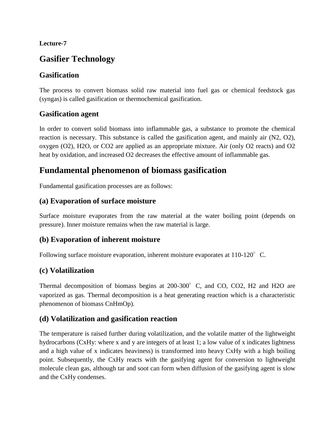#### **Lecture-7**

## **Gasifier Technology**

### **Gasification**

The process to convert biomass solid raw material into fuel gas or chemical feedstock gas (syngas) is called gasification or thermochemical gasification.

### **Gasification agent**

In order to convert solid biomass into inflammable gas, a substance to promote the chemical reaction is necessary. This substance is called the gasification agent, and mainly air (N2, O2), oxygen (O2), H2O, or CO2 are applied as an appropriate mixture. Air (only O2 reacts) and O2 heat by oxidation, and increased O2 decreases the effective amount of inflammable gas.

## **Fundamental phenomenon of biomass gasification**

Fundamental gasification processes are as follows:

#### **(a) Evaporation of surface moisture**

Surface moisture evaporates from the raw material at the water boiling point (depends on pressure). Inner moisture remains when the raw material is large.

#### **(b) Evaporation of inherent moisture**

Following surface moisture evaporation, inherent moisture evaporates at 110-120°C.

#### **(c) Volatilization**

Thermal decomposition of biomass begins at 200-300°C, and CO, CO2, H2 and H2O are vaporized as gas. Thermal decomposition is a heat generating reaction which is a characteristic phenomenon of biomass CnHmOp).

#### **(d) Volatilization and gasification reaction**

The temperature is raised further during volatilization, and the volatile matter of the lightweight hydrocarbons (CxHy: where x and y are integers of at least 1; a low value of x indicates lightness and a high value of x indicates heaviness) is transformed into heavy CxHy with a high boiling point. Subsequently, the CxHy reacts with the gasifying agent for conversion to lightweight molecule clean gas, although tar and soot can form when diffusion of the gasifying agent is slow and the CxHy condenses.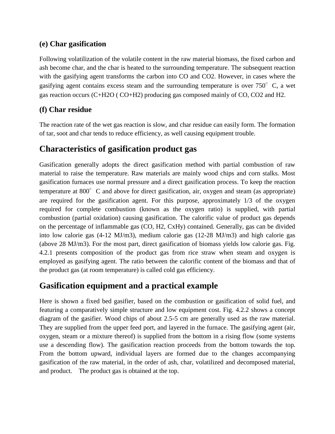#### **(e) Char gasification**

Following volatilization of the volatile content in the raw material biomass, the fixed carbon and ash become char, and the char is heated to the surrounding temperature. The subsequent reaction with the gasifying agent transforms the carbon into CO and CO2. However, in cases where the gasifying agent contains excess steam and the surrounding temperature is over  $750^{\circ}$  C, a wet gas reaction occurs (C+H2O ( CO+H2) producing gas composed mainly of CO, CO2 and H2.

### **(f) Char residue**

The reaction rate of the wet gas reaction is slow, and char residue can easily form. The formation of tar, soot and char tends to reduce efficiency, as well causing equipment trouble.

## **Characteristics of gasification product gas**

Gasification generally adopts the direct gasification method with partial combustion of raw material to raise the temperature. Raw materials are mainly wood chips and corn stalks. Most gasification furnaces use normal pressure and a direct gasification process. To keep the reaction temperature at 800°C and above for direct gasification, air, oxygen and steam (as appropriate) are required for the gasification agent. For this purpose, approximately 1/3 of the oxygen required for complete combustion (known as the oxygen ratio) is supplied, with partial combustion (partial oxidation) causing gasification. The calorific value of product gas depends on the percentage of inflammable gas (CO, H2, CxHy) contained. Generally, gas can be divided into low calorie gas (4-12 MJ/m3), medium calorie gas (12-28 MJ/m3) and high calorie gas (above 28 MJ/m3). For the most part, direct gasification of biomass yields low calorie gas. Fig. 4.2.1 presents composition of the product gas from rice straw when steam and oxygen is employed as gasifying agent. The ratio between the calorific content of the biomass and that of the product gas (at room temperature) is called cold gas efficiency.

# **Gasification equipment and a practical example**

Here is shown a fixed bed gasifier, based on the combustion or gasification of solid fuel, and featuring a comparatively simple structure and low equipment cost. Fig. 4.2.2 shows a concept diagram of the gasifier. Wood chips of about 2.5-5 cm are generally used as the raw material. They are supplied from the upper feed port, and layered in the furnace. The gasifying agent (air, oxygen, steam or a mixture thereof) is supplied from the bottom in a rising flow (some systems use a descending flow). The gasification reaction proceeds from the bottom towards the top. From the bottom upward, individual layers are formed due to the changes accompanying gasification of the raw material, in the order of ash, char, volatilized and decomposed material, and product. The product gas is obtained at the top.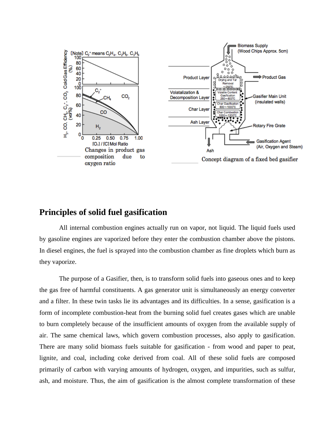

#### **Principles of solid fuel gasification**

All internal combustion engines actually run on vapor, not liquid. The liquid fuels used by gasoline engines are vaporized before they enter the combustion chamber above the pistons. In diesel engines, the fuel is sprayed into the combustion chamber as fine droplets which burn as they vaporize.

The purpose of a Gasifier, then, is to transform solid fuels into gaseous ones and to keep the gas free of harmful constituents. A gas generator unit is simultaneously an energy converter and a filter. In these twin tasks lie its advantages and its difficulties. In a sense, gasification is a form of incomplete combustion-heat from the burning solid fuel creates gases which are unable to burn completely because of the insufficient amounts of oxygen from the available supply of air. The same chemical laws, which govern combustion processes, also apply to gasification. There are many solid biomass fuels suitable for gasification - from wood and paper to peat, lignite, and coal, including coke derived from coal. All of these solid fuels are composed primarily of carbon with varying amounts of hydrogen, oxygen, and impurities, such as sulfur, ash, and moisture. Thus, the aim of gasification is the almost complete transformation of these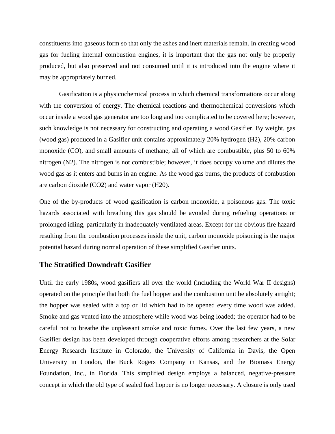constituents into gaseous form so that only the ashes and inert materials remain. In creating wood gas for fueling internal combustion engines, it is important that the gas not only be properly produced, but also preserved and not consumed until it is introduced into the engine where it may be appropriately burned.

Gasification is a physicochemical process in which chemical transformations occur along with the conversion of energy. The chemical reactions and thermochemical conversions which occur inside a wood gas generator are too long and too complicated to be covered here; however, such knowledge is not necessary for constructing and operating a wood Gasifier. By weight, gas (wood gas) produced in a Gasifier unit contains approximately 20% hydrogen (H2), 20% carbon monoxide (CO), and small amounts of methane, all of which are combustible, plus 50 to 60% nitrogen (N2). The nitrogen is not combustible; however, it does occupy volume and dilutes the wood gas as it enters and burns in an engine. As the wood gas burns, the products of combustion are carbon dioxide (CO2) and water vapor (H20).

One of the by-products of wood gasification is carbon monoxide, a poisonous gas. The toxic hazards associated with breathing this gas should be avoided during refueling operations or prolonged idling, particularly in inadequately ventilated areas. Except for the obvious fire hazard resulting from the combustion processes inside the unit, carbon monoxide poisoning is the major potential hazard during normal operation of these simplified Gasifier units.

#### **The Stratified Downdraft Gasifier**

Until the early 1980s, wood gasifiers all over the world (including the World War II designs) operated on the principle that both the fuel hopper and the combustion unit be absolutely airtight; the hopper was sealed with a top or lid which had to be opened every time wood was added. Smoke and gas vented into the atmosphere while wood was being loaded; the operator had to be careful not to breathe the unpleasant smoke and toxic fumes. Over the last few years, a new Gasifier design has been developed through cooperative efforts among researchers at the Solar Energy Research Institute in Colorado, the University of California in Davis, the Open University in London, the Buck Rogers Company in Kansas, and the Biomass Energy Foundation, Inc., in Florida. This simplified design employs a balanced, negative-pressure concept in which the old type of sealed fuel hopper is no longer necessary. A closure is only used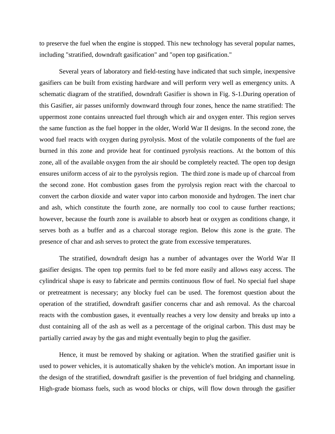to preserve the fuel when the engine is stopped. This new technology has several popular names, including "stratified, downdraft gasification" and "open top gasification."

Several years of laboratory and field-testing have indicated that such simple, inexpensive gasifiers can be built from existing hardware and will perform very well as emergency units. A schematic diagram of the stratified, downdraft Gasifier is shown in Fig. S-1.During operation of this Gasifier, air passes uniformly downward through four zones, hence the name stratified: The uppermost zone contains unreacted fuel through which air and oxygen enter. This region serves the same function as the fuel hopper in the older, World War II designs. In the second zone, the wood fuel reacts with oxygen during pyrolysis. Most of the volatile components of the fuel are burned in this zone and provide heat for continued pyrolysis reactions. At the bottom of this zone, all of the available oxygen from the air should be completely reacted. The open top design ensures uniform access of air to the pyrolysis region. The third zone is made up of charcoal from the second zone. Hot combustion gases from the pyrolysis region react with the charcoal to convert the carbon dioxide and water vapor into carbon monoxide and hydrogen. The inert char and ash, which constitute the fourth zone, are normally too cool to cause further reactions; however, because the fourth zone is available to absorb heat or oxygen as conditions change, it serves both as a buffer and as a charcoal storage region. Below this zone is the grate. The presence of char and ash serves to protect the grate from excessive temperatures.

The stratified, downdraft design has a number of advantages over the World War II gasifier designs. The open top permits fuel to be fed more easily and allows easy access. The cylindrical shape is easy to fabricate and permits continuous flow of fuel. No special fuel shape or pretreatment is necessary; any blocky fuel can be used. The foremost question about the operation of the stratified, downdraft gasifier concerns char and ash removal. As the charcoal reacts with the combustion gases, it eventually reaches a very low density and breaks up into a dust containing all of the ash as well as a percentage of the original carbon. This dust may be partially carried away by the gas and might eventually begin to plug the gasifier.

Hence, it must be removed by shaking or agitation. When the stratified gasifier unit is used to power vehicles, it is automatically shaken by the vehicle's motion. An important issue in the design of the stratified, downdraft gasifier is the prevention of fuel bridging and channeling. High-grade biomass fuels, such as wood blocks or chips, will flow down through the gasifier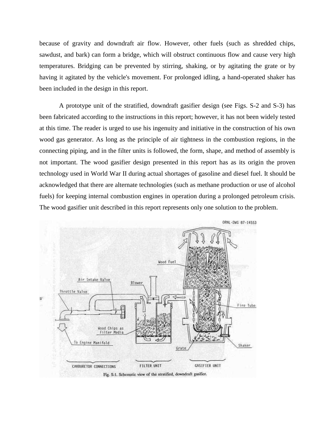because of gravity and downdraft air flow. However, other fuels (such as shredded chips, sawdust, and bark) can form a bridge, which will obstruct continuous flow and cause very high temperatures. Bridging can be prevented by stirring, shaking, or by agitating the grate or by having it agitated by the vehicle's movement. For prolonged idling, a hand-operated shaker has been included in the design in this report.

A prototype unit of the stratified, downdraft gasifier design (see Figs. S-2 and S-3) has been fabricated according to the instructions in this report; however, it has not been widely tested at this time. The reader is urged to use his ingenuity and initiative in the construction of his own wood gas generator. As long as the principle of air tightness in the combustion regions, in the connecting piping, and in the filter units is followed, the form, shape, and method of assembly is not important. The wood gasifier design presented in this report has as its origin the proven technology used in World War II during actual shortages of gasoline and diesel fuel. It should be acknowledged that there are alternate technologies (such as methane production or use of alcohol fuels) for keeping internal combustion engines in operation during a prolonged petroleum crisis. The wood gasifier unit described in this report represents only one solution to the problem.

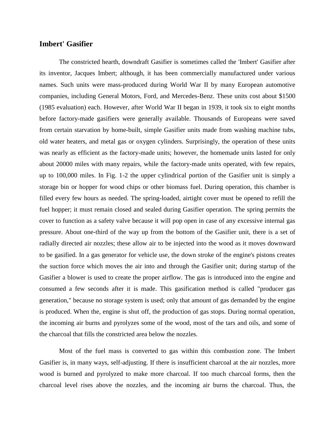#### **Imbert' Gasifier**

The constricted hearth, downdraft Gasifier is sometimes called the 'Imbert' Gasifier after its inventor, Jacques Imbert; although, it has been commercially manufactured under various names. Such units were mass-produced during World War II by many European automotive companies, including General Motors, Ford, and Mercedes-Benz. These units cost about \$1500 (1985 evaluation) each. However, after World War II began in 1939, it took six to eight months before factory-made gasifiers were generally available. Thousands of Europeans were saved from certain starvation by home-built, simple Gasifier units made from washing machine tubs, old water heaters, and metal gas or oxygen cylinders. Surprisingly, the operation of these units was nearly as efficient as the factory-made units; however, the homemade units lasted for only about 20000 miles with many repairs, while the factory-made units operated, with few repairs, up to 100,000 miles. In Fig. 1-2 the upper cylindrical portion of the Gasifier unit is simply a storage bin or hopper for wood chips or other biomass fuel. During operation, this chamber is filled every few hours as needed. The spring-loaded, airtight cover must be opened to refill the fuel hopper; it must remain closed and sealed during Gasifier operation. The spring permits the cover to function as a safety valve because it will pop open in case of any excessive internal gas pressure. About one-third of the way up from the bottom of the Gasifier unit, there is a set of radially directed air nozzles; these allow air to be injected into the wood as it moves downward to be gasified. In a gas generator for vehicle use, the down stroke of the engine's pistons creates the suction force which moves the air into and through the Gasifier unit; during startup of the Gasifier a blower is used to create the proper airflow. The gas is introduced into the engine and consumed a few seconds after it is made. This gasification method is called "producer gas generation," because no storage system is used; only that amount of gas demanded by the engine is produced. When the, engine is shut off, the production of gas stops. During normal operation, the incoming air burns and pyrolyzes some of the wood, most of the tars and oils, and some of the charcoal that fills the constricted area below the nozzles.

Most of the fuel mass is converted to gas within this combustion zone. The Imbert Gasifier is, in many ways, self-adjusting. If there is insufficient charcoal at the air nozzles, more wood is burned and pyrolyzed to make more charcoal. If too much charcoal forms, then the charcoal level rises above the nozzles, and the incoming air burns the charcoal. Thus, the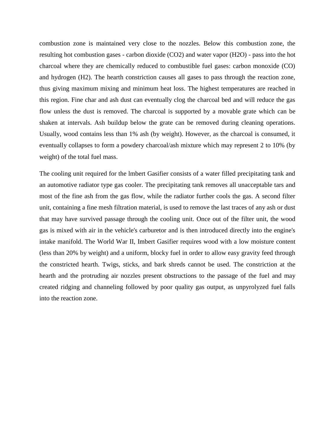combustion zone is maintained very close to the nozzles. Below this combustion zone, the resulting hot combustion gases - carbon dioxide (CO2) and water vapor (H2O) - pass into the hot charcoal where they are chemically reduced to combustible fuel gases: carbon monoxide (CO) and hydrogen (H2). The hearth constriction causes all gases to pass through the reaction zone, thus giving maximum mixing and minimum heat loss. The highest temperatures are reached in this region. Fine char and ash dust can eventually clog the charcoal bed and will reduce the gas flow unless the dust is removed. The charcoal is supported by a movable grate which can be shaken at intervals. Ash buildup below the grate can be removed during cleaning operations. Usually, wood contains less than 1% ash (by weight). However, as the charcoal is consumed, it eventually collapses to form a powdery charcoal/ash mixture which may represent 2 to 10% (by weight) of the total fuel mass.

The cooling unit required for the lmbert Gasifier consists of a water filled precipitating tank and an automotive radiator type gas cooler. The precipitating tank removes all unacceptable tars and most of the fine ash from the gas flow, while the radiator further cools the gas. A second filter unit, containing a fine mesh filtration material, is used to remove the last traces of any ash or dust that may have survived passage through the cooling unit. Once out of the filter unit, the wood gas is mixed with air in the vehicle's carburetor and is then introduced directly into the engine's intake manifold. The World War II, Imbert Gasifier requires wood with a low moisture content (less than 20% by weight) and a uniform, blocky fuel in order to allow easy gravity feed through the constricted hearth. Twigs, sticks, and bark shreds cannot be used. The constriction at the hearth and the protruding air nozzles present obstructions to the passage of the fuel and may created ridging and channeling followed by poor quality gas output, as unpyrolyzed fuel falls into the reaction zone.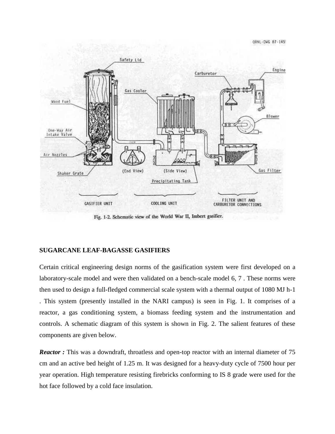

Fig. 1-2. Schematic view of the World War II, Imbert gasifier.

#### **SUGARCANE LEAF-BAGASSE GASIFIERS**

Certain critical engineering design norms of the gasification system were first developed on a laboratory-scale model and were then validated on a bench-scale model 6, 7 . These norms were then used to design a full-fledged commercial scale system with a thermal output of 1080 MJ h-1 . This system (presently installed in the NARI campus) is seen in Fig. 1. It comprises of a reactor, a gas conditioning system, a biomass feeding system and the instrumentation and controls. A schematic diagram of this system is shown in Fig. 2. The salient features of these components are given below.

*Reactor*: This was a downdraft, throatless and open-top reactor with an internal diameter of 75 cm and an active bed height of 1.25 m. It was designed for a heavy-duty cycle of 7500 hour per year operation. High temperature resisting firebricks conforming to IS 8 grade were used for the hot face followed by a cold face insulation.